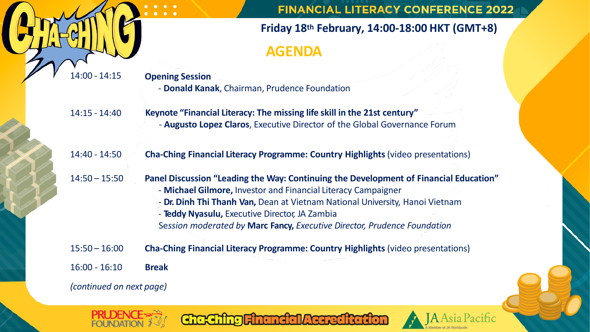

**PRI DEN** 

**FINANCIAL LITERACY CONFERENCE 2022** 

JA Asia Pacific

## **Friday 18th February, 14:00-18:00 HKT (GMT+8) AGENDA**

| $14:00 - 14:15$          | <b>Opening Session</b><br>- Donald Kanak, Chairman, Prudence Foundation                                                                                                                                                                                                                                                                                              |
|--------------------------|----------------------------------------------------------------------------------------------------------------------------------------------------------------------------------------------------------------------------------------------------------------------------------------------------------------------------------------------------------------------|
| $14:15 - 14:40$          | Keynote "Financial Literacy: The missing life skill in the 21st century"<br>- Augusto Lopez Claros, Executive Director of the Global Governance Forum                                                                                                                                                                                                                |
| 14:40 - 14:50            | <b>Cha-Ching Financial Literacy Programme: Country Highlights (video presentations)</b>                                                                                                                                                                                                                                                                              |
| $14:50 - 15:50$          | Panel Discussion "Leading the Way: Continuing the Development of Financial Education"<br>- Michael Gilmore, Investor and Financial Literacy Campaigner<br>- Dr. Dinh Thi Thanh Van, Dean at Vietnam National University, Hanoi Vietnam<br>- Teddy Nyasulu, Executive Director, JA Zambia<br>Session moderated by Marc Fancy, Executive Director, Prudence Foundation |
| $15:50 - 16:00$          | <b>Cha-Ching Financial Literacy Programme: Country Highlights (video presentations)</b>                                                                                                                                                                                                                                                                              |
| $16:00 - 16:10$          | <b>Break</b>                                                                                                                                                                                                                                                                                                                                                         |
| (continued on next page) |                                                                                                                                                                                                                                                                                                                                                                      |

Chaching Financial Accreditation